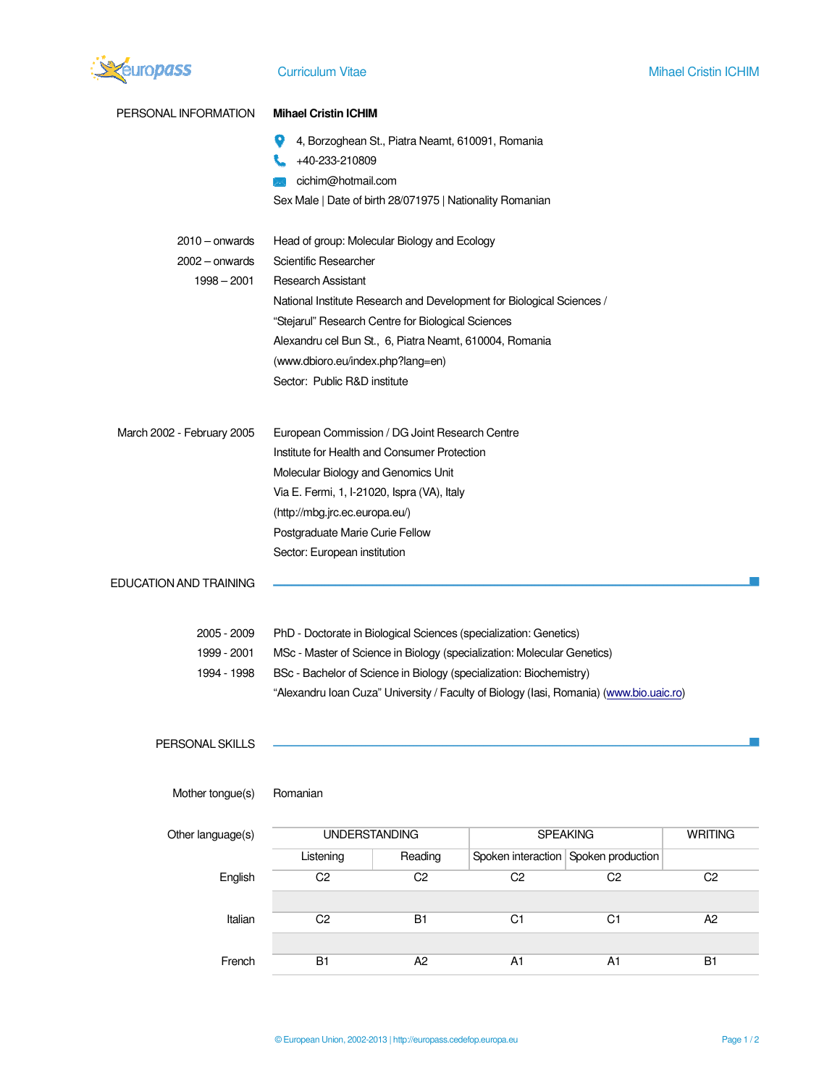

| PERSONAL INFORMATION                                  | <b>Mihael Cristin ICHIM</b>                                                                                                                                                                                                                                                                                                                                       |                                                  |                                                                                         |                                      |                |
|-------------------------------------------------------|-------------------------------------------------------------------------------------------------------------------------------------------------------------------------------------------------------------------------------------------------------------------------------------------------------------------------------------------------------------------|--------------------------------------------------|-----------------------------------------------------------------------------------------|--------------------------------------|----------------|
|                                                       | +40-233-210809<br>cichim@hotmail.com                                                                                                                                                                                                                                                                                                                              | 4, Borzoghean St., Piatra Neamt, 610091, Romania |                                                                                         |                                      |                |
|                                                       | Sex Male   Date of birth 28/071975   Nationality Romanian                                                                                                                                                                                                                                                                                                         |                                                  |                                                                                         |                                      |                |
| $2010 -$ onwards<br>$2002 -$ onwards<br>$1998 - 2001$ | Head of group: Molecular Biology and Ecology<br>Scientific Researcher<br><b>Research Assistant</b><br>National Institute Research and Development for Biological Sciences /<br>"Stejarul" Research Centre for Biological Sciences<br>Alexandru cel Bun St., 6, Piatra Neamt, 610004, Romania<br>(www.dbioro.eu/index.php?lang=en)<br>Sector: Public R&D institute |                                                  |                                                                                         |                                      |                |
| March 2002 - February 2005                            | European Commission / DG Joint Research Centre<br>Institute for Health and Consumer Protection<br>Molecular Biology and Genomics Unit<br>Via E. Fermi, 1, I-21020, Ispra (VA), Italy<br>(http://mbg.jrc.ec.europa.eu/)<br>Postgraduate Marie Curie Fellow<br>Sector: European institution                                                                         |                                                  |                                                                                         |                                      |                |
| EDUCATION AND TRAINING                                |                                                                                                                                                                                                                                                                                                                                                                   |                                                  |                                                                                         |                                      |                |
| 2005 - 2009                                           | PhD - Doctorate in Biological Sciences (specialization: Genetics)                                                                                                                                                                                                                                                                                                 |                                                  |                                                                                         |                                      |                |
| 1999 - 2001                                           | MSc - Master of Science in Biology (specialization: Molecular Genetics)                                                                                                                                                                                                                                                                                           |                                                  |                                                                                         |                                      |                |
| 1994 - 1998                                           | BSc - Bachelor of Science in Biology (specialization: Biochemistry)                                                                                                                                                                                                                                                                                               |                                                  |                                                                                         |                                      |                |
| PERSONAL SKILLS                                       |                                                                                                                                                                                                                                                                                                                                                                   |                                                  | "Alexandru Ioan Cuza" University / Faculty of Biology (Iasi, Romania) (www.bio.uaic.ro) |                                      |                |
|                                                       |                                                                                                                                                                                                                                                                                                                                                                   |                                                  |                                                                                         |                                      |                |
| Mother tongue(s)                                      | Romanian                                                                                                                                                                                                                                                                                                                                                          |                                                  |                                                                                         |                                      |                |
| Other language(s)                                     | <b>UNDERSTANDING</b>                                                                                                                                                                                                                                                                                                                                              |                                                  | <b>SPEAKING</b>                                                                         |                                      | <b>WRITING</b> |
|                                                       | Listening                                                                                                                                                                                                                                                                                                                                                         | Reading                                          |                                                                                         | Spoken interaction Spoken production |                |
| English                                               | C <sub>2</sub>                                                                                                                                                                                                                                                                                                                                                    | C <sub>2</sub>                                   | C <sub>2</sub>                                                                          | C <sub>2</sub>                       | C <sub>2</sub> |
|                                                       |                                                                                                                                                                                                                                                                                                                                                                   |                                                  |                                                                                         |                                      |                |
| Italian                                               | C <sub>2</sub>                                                                                                                                                                                                                                                                                                                                                    | <b>B1</b>                                        | C <sub>1</sub>                                                                          | C1                                   | A2             |
| French                                                | <b>B1</b>                                                                                                                                                                                                                                                                                                                                                         | A <sub>2</sub>                                   | A <sub>1</sub>                                                                          | A1                                   | <b>B1</b>      |